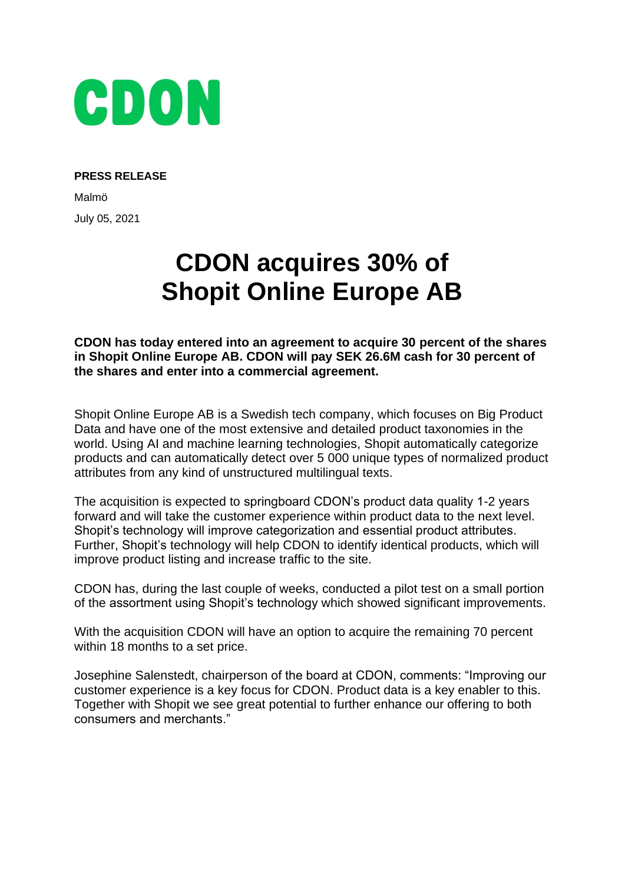

## **PRESS RELEASE**

Malmö July 05, 2021

## **CDON acquires 30% of Shopit Online Europe AB**

**CDON has today entered into an agreement to acquire 30 percent of the shares in Shopit Online Europe AB. CDON will pay SEK 26.6M cash for 30 percent of the shares and enter into a commercial agreement.** 

Shopit Online Europe AB is a Swedish tech company, which focuses on Big Product Data and have one of the most extensive and detailed product taxonomies in the world. Using AI and machine learning technologies, Shopit automatically categorize products and can automatically detect over 5 000 unique types of normalized product attributes from any kind of unstructured multilingual texts.

The acquisition is expected to springboard CDON's product data quality 1-2 years forward and will take the customer experience within product data to the next level. Shopit's technology will improve categorization and essential product attributes. Further, Shopit's technology will help CDON to identify identical products, which will improve product listing and increase traffic to the site.

CDON has, during the last couple of weeks, conducted a pilot test on a small portion of the assortment using Shopit's technology which showed significant improvements.

With the acquisition CDON will have an option to acquire the remaining 70 percent within 18 months to a set price.

Josephine Salenstedt, chairperson of the board at CDON, comments: "Improving our customer experience is a key focus for CDON. Product data is a key enabler to this. Together with Shopit we see great potential to further enhance our offering to both consumers and merchants."